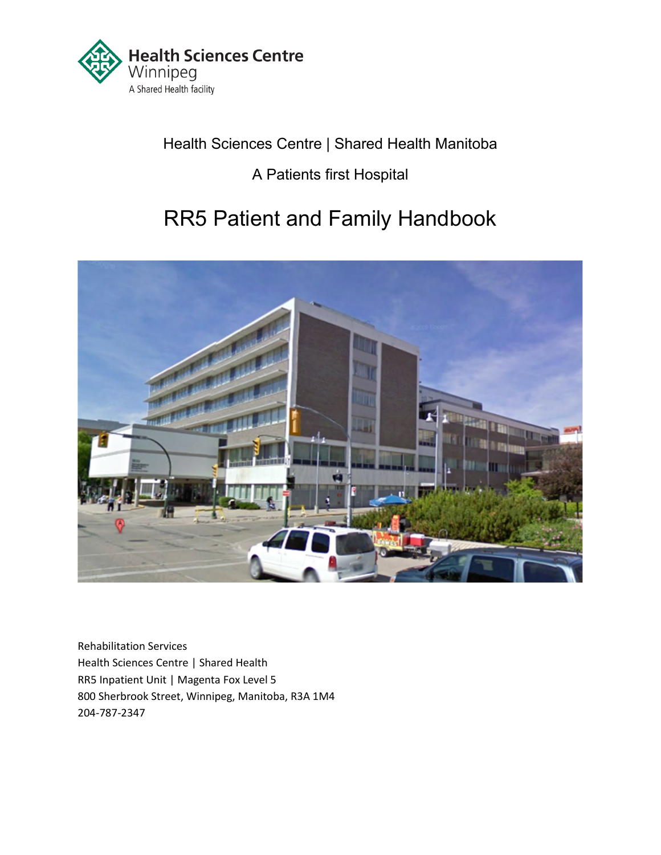

# Health Sciences Centre | Shared Health Manitoba

# A Patients first Hospital

# RR5 Patient and Family Handbook



Rehabilitation Services Health Sciences Centre | Shared Health RR5 Inpatient Unit | Magenta Fox Level 5 800 Sherbrook Street, Winnipeg, Manitoba, R3A 1M4 204-787-2347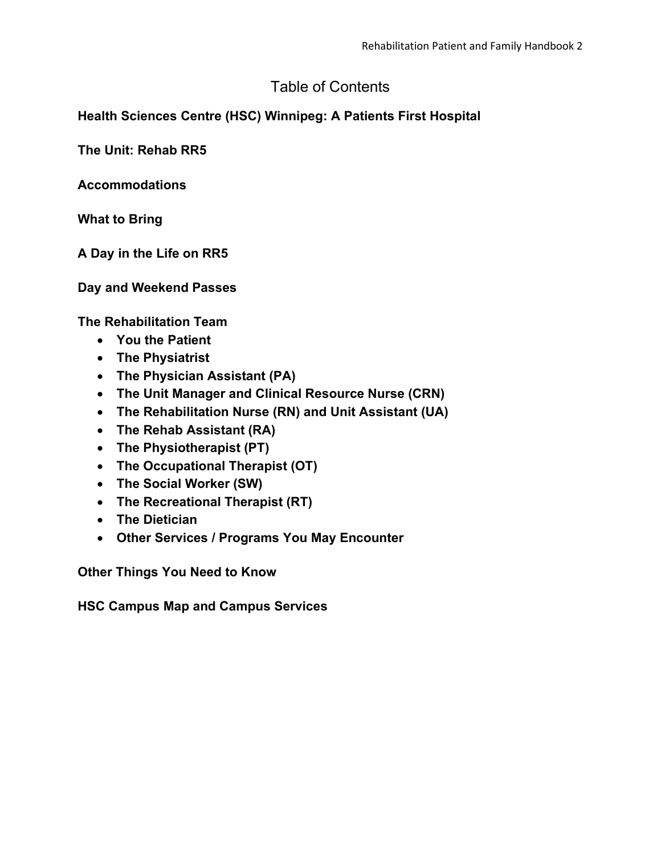#### Table of Contents

#### **Health Sciences Centre (HSC) Winnipeg: A Patients First Hospital**

**The Unit: Rehab RR5**

**Accommodations**

**What to Bring**

**A Day in the Life on RR5**

**Day and Weekend Passes**

**The Rehabilitation Team**

- **You the Patient**
- **The Physiatrist**
- **The Physician Assistant (PA)**
- **The Unit Manager and Clinical Resource Nurse (CRN)**
- **The Rehabilitation Nurse (RN) and Unit Assistant (UA)**
- **The Rehab Assistant (RA)**
- **The Physiotherapist (PT)**
- **The Occupational Therapist (OT)**
- **The Social Worker (SW)**
- **The Recreational Therapist (RT)**
- **The Dietician**
- **Other Services / Programs You May Encounter**

**Other Things You Need to Know**

**HSC Campus Map and Campus Services**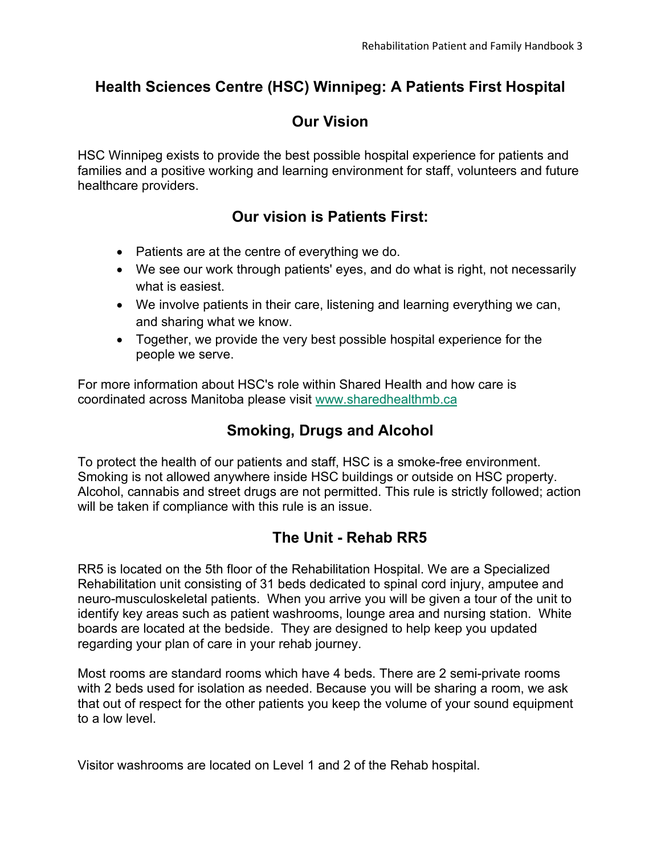#### **Health Sciences Centre (HSC) Winnipeg: A Patients First Hospital**

#### **Our Vision**

HSC Winnipeg exists to provide the best possible hospital experience for patients and families and a positive working and learning environment for staff, volunteers and future healthcare providers.

#### **Our vision is Patients First:**

- Patients are at the centre of everything we do.
- We see our work through patients' eyes, and do what is right, not necessarily what is easiest.
- We involve patients in their care, listening and learning everything we can, and sharing what we know.
- Together, we provide the very best possible hospital experience for the people we serve.

For more information about HSC's role within Shared Health and how care is coordinated across Manitoba please visit [www.sharedhealthmb.ca](http://www.sharedhealthmb.ca/)

#### **Smoking, Drugs and Alcohol**

To protect the health of our patients and staff, HSC is a smoke-free environment. Smoking is not allowed anywhere inside HSC buildings or outside on HSC property. Alcohol, cannabis and street drugs are not permitted. This rule is strictly followed; action will be taken if compliance with this rule is an issue.

#### **The Unit - Rehab RR5**

RR5 is located on the 5th floor of the Rehabilitation Hospital. We are a Specialized Rehabilitation unit consisting of 31 beds dedicated to spinal cord injury, amputee and neuro-musculoskeletal patients. When you arrive you will be given a tour of the unit to identify key areas such as patient washrooms, lounge area and nursing station. White boards are located at the bedside. They are designed to help keep you updated regarding your plan of care in your rehab journey.

Most rooms are standard rooms which have 4 beds. There are 2 semi-private rooms with 2 beds used for isolation as needed. Because you will be sharing a room, we ask that out of respect for the other patients you keep the volume of your sound equipment to a low level.

Visitor washrooms are located on Level 1 and 2 of the Rehab hospital.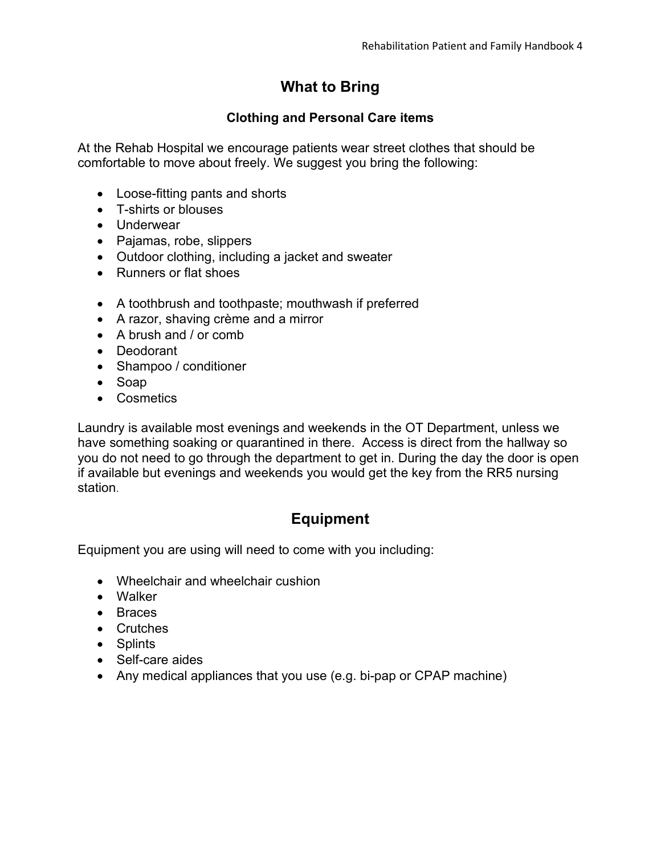### **What to Bring**

#### **Clothing and Personal Care items**

At the Rehab Hospital we encourage patients wear street clothes that should be comfortable to move about freely. We suggest you bring the following:

- Loose-fitting pants and shorts
- T-shirts or blouses
- Underwear
- Pajamas, robe, slippers
- Outdoor clothing, including a jacket and sweater
- Runners or flat shoes
- A toothbrush and toothpaste; mouthwash if preferred
- A razor, shaving crème and a mirror
- A brush and / or comb
- Deodorant
- Shampoo / conditioner
- Soap
- Cosmetics

Laundry is available most evenings and weekends in the OT Department, unless we have something soaking or quarantined in there. Access is direct from the hallway so you do not need to go through the department to get in. During the day the door is open if available but evenings and weekends you would get the key from the RR5 nursing station.

## **Equipment**

Equipment you are using will need to come with you including:

- Wheelchair and wheelchair cushion
- Walker
- Braces
- Crutches
- Splints
- Self-care aides
- Any medical appliances that you use (e.g. bi-pap or CPAP machine)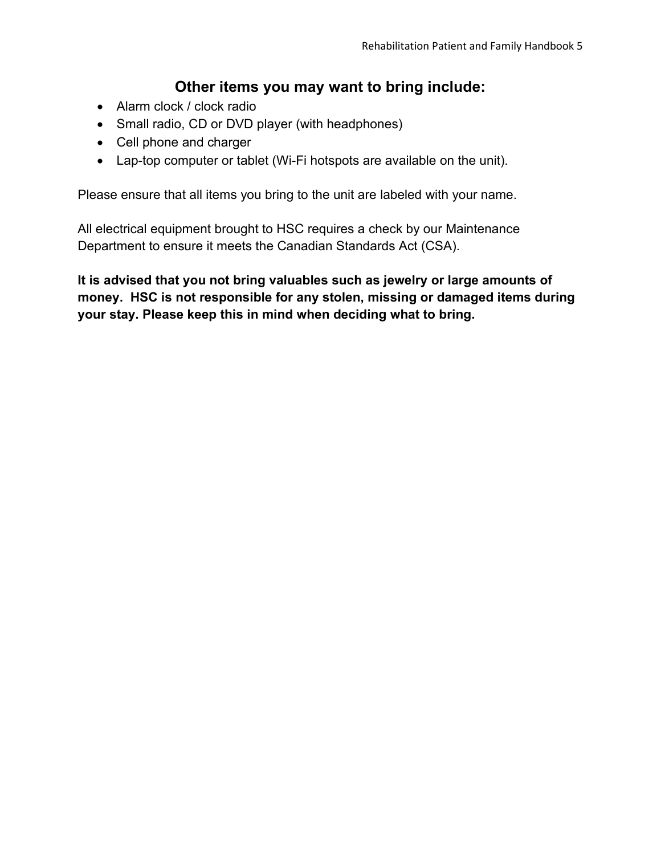#### **Other items you may want to bring include:**

- Alarm clock / clock radio
- Small radio, CD or DVD player (with headphones)
- Cell phone and charger
- Lap-top computer or tablet (Wi-Fi hotspots are available on the unit).

Please ensure that all items you bring to the unit are labeled with your name.

All electrical equipment brought to HSC requires a check by our Maintenance Department to ensure it meets the Canadian Standards Act (CSA).

**It is advised that you not bring valuables such as jewelry or large amounts of money. HSC is not responsible for any stolen, missing or damaged items during your stay. Please keep this in mind when deciding what to bring.**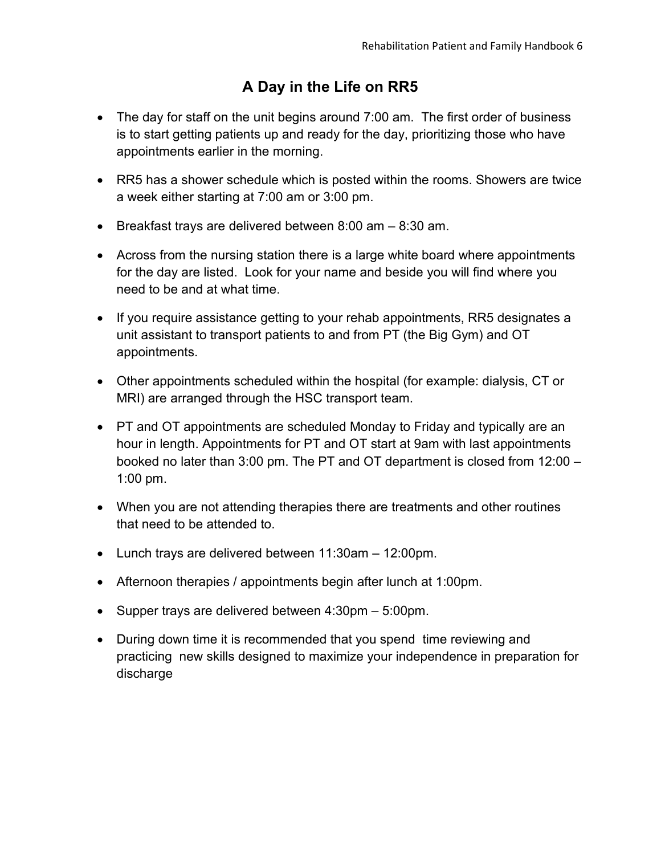# **A Day in the Life on RR5**

- The day for staff on the unit begins around 7:00 am. The first order of business is to start getting patients up and ready for the day, prioritizing those who have appointments earlier in the morning.
- RR5 has a shower schedule which is posted within the rooms. Showers are twice a week either starting at 7:00 am or 3:00 pm.
- Breakfast trays are delivered between 8:00 am 8:30 am.
- Across from the nursing station there is a large white board where appointments for the day are listed. Look for your name and beside you will find where you need to be and at what time.
- If you require assistance getting to your rehab appointments, RR5 designates a unit assistant to transport patients to and from PT (the Big Gym) and OT appointments.
- Other appointments scheduled within the hospital (for example: dialysis, CT or MRI) are arranged through the HSC transport team.
- PT and OT appointments are scheduled Monday to Friday and typically are an hour in length. Appointments for PT and OT start at 9am with last appointments booked no later than 3:00 pm. The PT and OT department is closed from 12:00 – 1:00 pm.
- When you are not attending therapies there are treatments and other routines that need to be attended to.
- Lunch trays are delivered between 11:30am 12:00pm.
- Afternoon therapies / appointments begin after lunch at 1:00pm.
- Supper trays are delivered between 4:30pm 5:00pm.
- During down time it is recommended that you spend time reviewing and practicing new skills designed to maximize your independence in preparation for discharge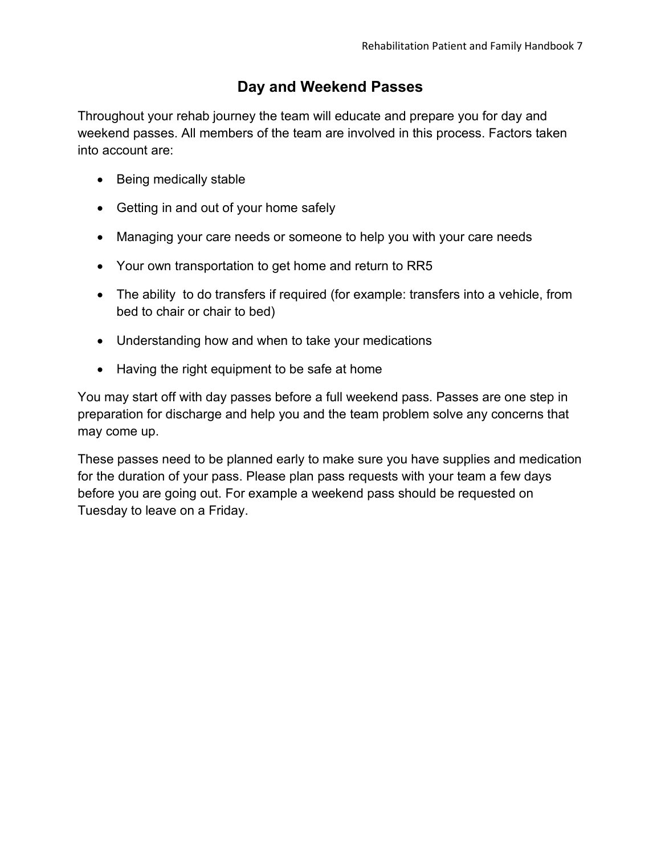#### **Day and Weekend Passes**

Throughout your rehab journey the team will educate and prepare you for day and weekend passes. All members of the team are involved in this process. Factors taken into account are:

- Being medically stable
- Getting in and out of your home safely
- Managing your care needs or someone to help you with your care needs
- Your own transportation to get home and return to RR5
- The ability to do transfers if required (for example: transfers into a vehicle, from bed to chair or chair to bed)
- Understanding how and when to take your medications
- Having the right equipment to be safe at home

You may start off with day passes before a full weekend pass. Passes are one step in preparation for discharge and help you and the team problem solve any concerns that may come up.

These passes need to be planned early to make sure you have supplies and medication for the duration of your pass. Please plan pass requests with your team a few days before you are going out. For example a weekend pass should be requested on Tuesday to leave on a Friday.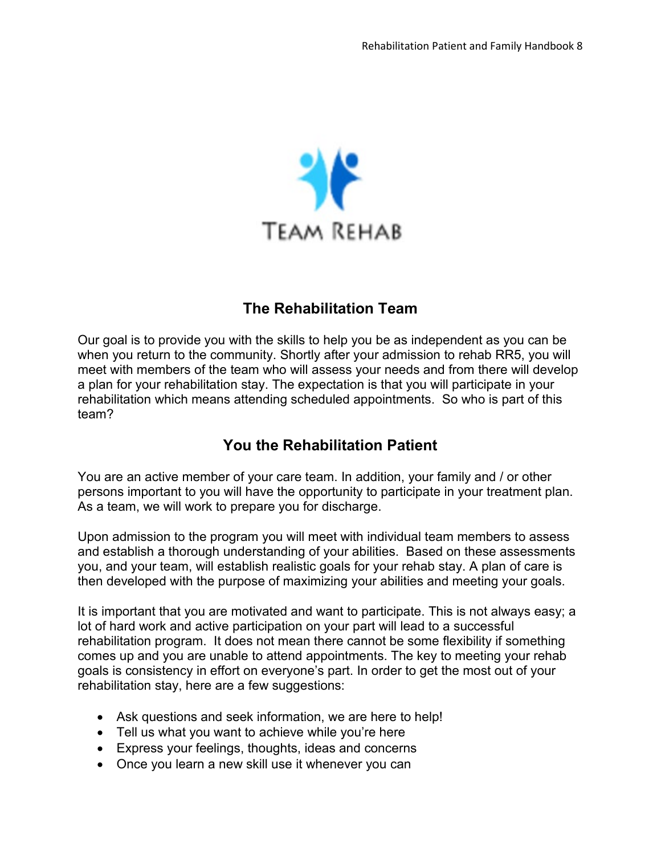

#### **The Rehabilitation Team**

Our goal is to provide you with the skills to help you be as independent as you can be when you return to the community. Shortly after your admission to rehab RR5, you will meet with members of the team who will assess your needs and from there will develop a plan for your rehabilitation stay. The expectation is that you will participate in your rehabilitation which means attending scheduled appointments. So who is part of this team?

#### **You the Rehabilitation Patient**

You are an active member of your care team. In addition, your family and / or other persons important to you will have the opportunity to participate in your treatment plan. As a team, we will work to prepare you for discharge.

Upon admission to the program you will meet with individual team members to assess and establish a thorough understanding of your abilities. Based on these assessments you, and your team, will establish realistic goals for your rehab stay. A plan of care is then developed with the purpose of maximizing your abilities and meeting your goals.

It is important that you are motivated and want to participate. This is not always easy; a lot of hard work and active participation on your part will lead to a successful rehabilitation program. It does not mean there cannot be some flexibility if something comes up and you are unable to attend appointments. The key to meeting your rehab goals is consistency in effort on everyone's part. In order to get the most out of your rehabilitation stay, here are a few suggestions:

- Ask questions and seek information, we are here to help!
- Tell us what you want to achieve while you're here
- Express your feelings, thoughts, ideas and concerns
- Once you learn a new skill use it whenever you can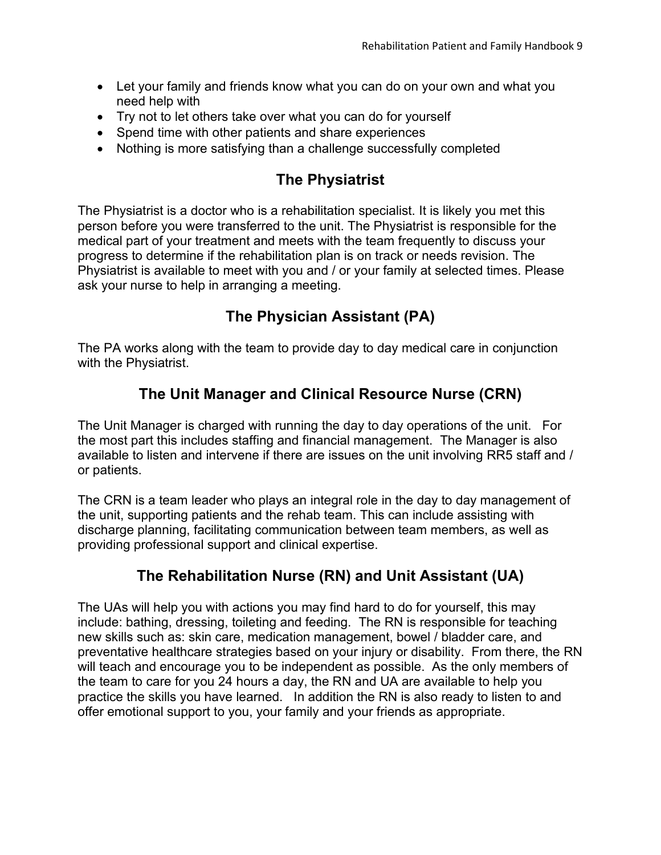- Let your family and friends know what you can do on your own and what you need help with
- Try not to let others take over what you can do for yourself
- Spend time with other patients and share experiences
- Nothing is more satisfying than a challenge successfully completed

#### **The Physiatrist**

The Physiatrist is a doctor who is a rehabilitation specialist. It is likely you met this person before you were transferred to the unit. The Physiatrist is responsible for the medical part of your treatment and meets with the team frequently to discuss your progress to determine if the rehabilitation plan is on track or needs revision. The Physiatrist is available to meet with you and / or your family at selected times. Please ask your nurse to help in arranging a meeting.

## **The Physician Assistant (PA)**

The PA works along with the team to provide day to day medical care in conjunction with the Physiatrist.

### **The Unit Manager and Clinical Resource Nurse (CRN)**

The Unit Manager is charged with running the day to day operations of the unit. For the most part this includes staffing and financial management. The Manager is also available to listen and intervene if there are issues on the unit involving RR5 staff and / or patients.

The CRN is a team leader who plays an integral role in the day to day management of the unit, supporting patients and the rehab team. This can include assisting with discharge planning, facilitating communication between team members, as well as providing professional support and clinical expertise.

#### **The Rehabilitation Nurse (RN) and Unit Assistant (UA)**

The UAs will help you with actions you may find hard to do for yourself, this may include: bathing, dressing, toileting and feeding. The RN is responsible for teaching new skills such as: skin care, medication management, bowel / bladder care, and preventative healthcare strategies based on your injury or disability. From there, the RN will teach and encourage you to be independent as possible. As the only members of the team to care for you 24 hours a day, the RN and UA are available to help you practice the skills you have learned. In addition the RN is also ready to listen to and offer emotional support to you, your family and your friends as appropriate.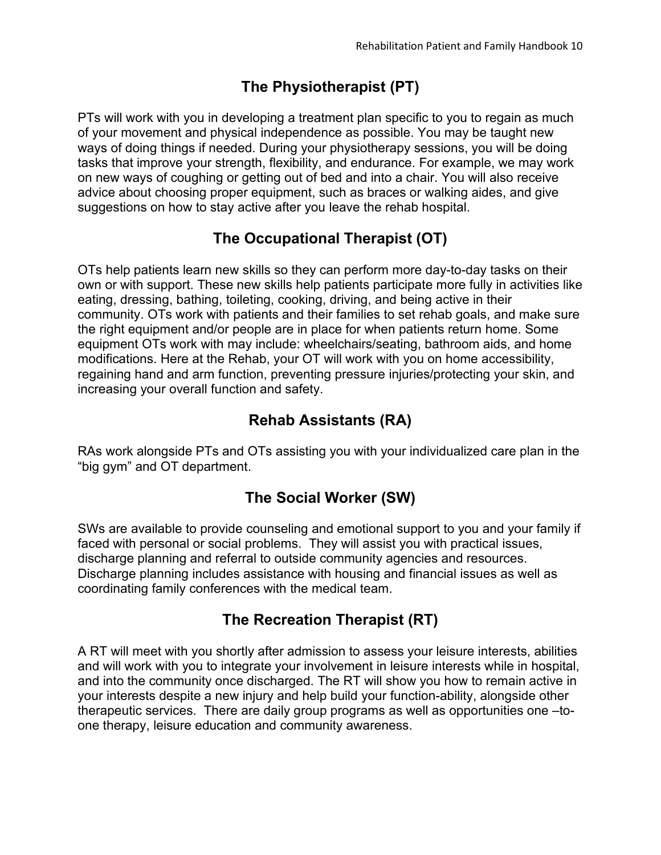## **The Physiotherapist (PT)**

PTs will work with you in developing a treatment plan specific to you to regain as much of your movement and physical independence as possible. You may be taught new ways of doing things if needed. During your physiotherapy sessions, you will be doing tasks that improve your strength, flexibility, and endurance. For example, we may work on new ways of coughing or getting out of bed and into a chair. You will also receive advice about choosing proper equipment, such as braces or walking aides, and give suggestions on how to stay active after you leave the rehab hospital.

# **The Occupational Therapist (OT)**

OTs help patients learn new skills so they can perform more day-to-day tasks on their own or with support. These new skills help patients participate more fully in activities like eating, dressing, bathing, toileting, cooking, driving, and being active in their community. OTs work with patients and their families to set rehab goals, and make sure the right equipment and/or people are in place for when patients return home. Some equipment OTs work with may include: wheelchairs/seating, bathroom aids, and home modifications. Here at the Rehab, your OT will work with you on home accessibility, regaining hand and arm function, preventing pressure injuries/protecting your skin, and increasing your overall function and safety.

## **Rehab Assistants (RA)**

RAs work alongside PTs and OTs assisting you with your individualized care plan in the "big gym" and OT department.

## **The Social Worker (SW)**

SWs are available to provide counseling and emotional support to you and your family if faced with personal or social problems. They will assist you with practical issues, discharge planning and referral to outside community agencies and resources. Discharge planning includes assistance with housing and financial issues as well as coordinating family conferences with the medical team.

## **The Recreation Therapist (RT)**

A RT will meet with you shortly after admission to assess your leisure interests, abilities and will work with you to integrate your involvement in leisure interests while in hospital, and into the community once discharged. The RT will show you how to remain active in your interests despite a new injury and help build your function-ability, alongside other therapeutic services. There are daily group programs as well as opportunities one –toone therapy, leisure education and community awareness.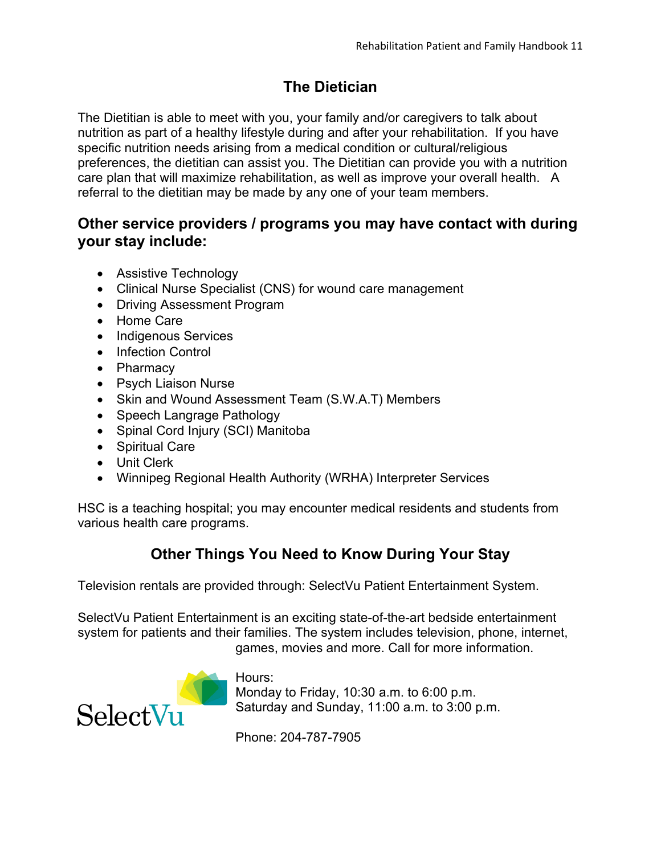# **The Dietician**

The Dietitian is able to meet with you, your family and/or caregivers to talk about nutrition as part of a healthy lifestyle during and after your rehabilitation. If you have specific nutrition needs arising from a medical condition or cultural/religious preferences, the dietitian can assist you. The Dietitian can provide you with a nutrition care plan that will maximize rehabilitation, as well as improve your overall health. A referral to the dietitian may be made by any one of your team members.

#### **Other service providers / programs you may have contact with during your stay include:**

- Assistive Technology
- Clinical Nurse Specialist (CNS) for wound care management
- Driving Assessment Program
- Home Care
- Indigenous Services
- Infection Control
- Pharmacy
- Psych Liaison Nurse
- Skin and Wound Assessment Team (S.W.A.T) Members
- Speech Langrage Pathology
- Spinal Cord Injury (SCI) Manitoba
- Spiritual Care
- Unit Clerk
- Winnipeg Regional Health Authority (WRHA) Interpreter Services

HSC is a teaching hospital; you may encounter medical residents and students from various health care programs.

# **Other Things You Need to Know During Your Stay**

Television rentals are provided through: SelectVu Patient Entertainment System.

SelectVu Patient Entertainment is an exciting state-of-the-art bedside entertainment system for patients and their families. The system includes television, phone, internet, games, movies and more. Call for more information.



Hours: Monday to Friday, 10:30 a.m. to 6:00 p.m. Saturday and Sunday, 11:00 a.m. to 3:00 p.m.

Phone: 204-787-7905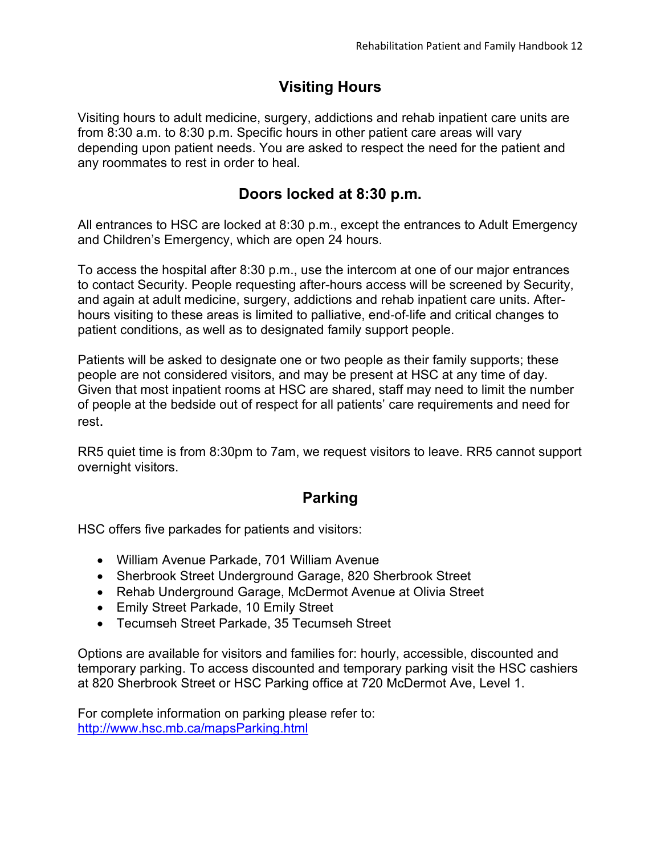## **Visiting Hours**

Visiting hours to adult medicine, surgery, addictions and rehab inpatient care units are from 8:30 a.m. to 8:30 p.m. Specific hours in other patient care areas will vary depending upon patient needs. You are asked to respect the need for the patient and any roommates to rest in order to heal.

#### **Doors locked at 8:30 p.m.**

All entrances to HSC are locked at 8:30 p.m., except the entrances to Adult Emergency and Children's Emergency, which are open 24 hours.

To access the hospital after 8:30 p.m., use the intercom at one of our major entrances to contact Security. People requesting after-hours access will be screened by Security, and again at adult medicine, surgery, addictions and rehab inpatient care units. Afterhours visiting to these areas is limited to palliative, end‐of‐life and critical changes to patient conditions, as well as to designated family support people.

Patients will be asked to designate one or two people as their family supports; these people are not considered visitors, and may be present at HSC at any time of day. Given that most inpatient rooms at HSC are shared, staff may need to limit the number of people at the bedside out of respect for all patients' care requirements and need for rest.

RR5 quiet time is from 8:30pm to 7am, we request visitors to leave. RR5 cannot support overnight visitors.

#### **Parking**

HSC offers five parkades for patients and visitors:

- William Avenue Parkade, 701 William Avenue
- Sherbrook Street Underground Garage, 820 Sherbrook Street
- Rehab Underground Garage, McDermot Avenue at Olivia Street
- Emily Street Parkade, 10 Emily Street
- Tecumseh Street Parkade, 35 Tecumseh Street

Options are available for visitors and families for: hourly, accessible, discounted and temporary parking. To access discounted and temporary parking visit the HSC cashiers at 820 Sherbrook Street or HSC Parking office at 720 McDermot Ave, Level 1.

For complete information on parking please refer to: <http://www.hsc.mb.ca/mapsParking.html>